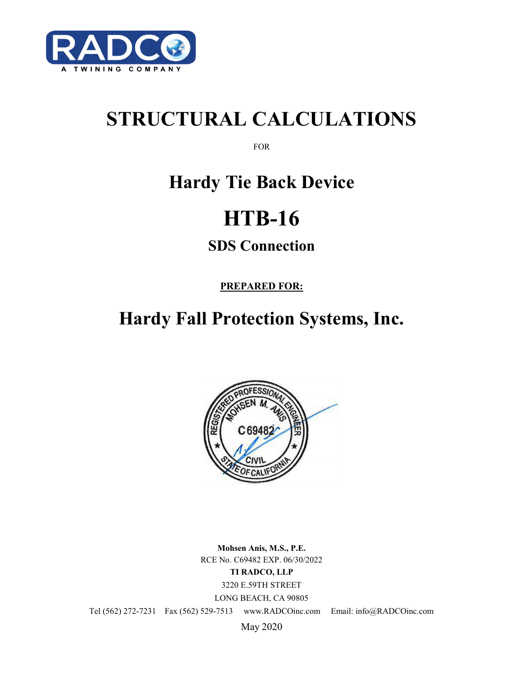

# **STRUCTURAL CALCULATIONS**

FOR

## **Hardy Tie Back Device**

# **HTB-16**

## **SDS Connection**

**PREPARED FOR:**

## **Hardy Fall Protection Systems, Inc.**



**Mohsen Anis, M.S., P.E.** RCE No. C69482 EXP. 06/30/2022 **TI RADCO, LLP** 3220 E.59TH STREET LONG BEACH, CA 90805

Tel (562) 272-7231 Fax (562) 529-7513 www.RADCOinc.com Email: info@RADCOinc.com

May 2020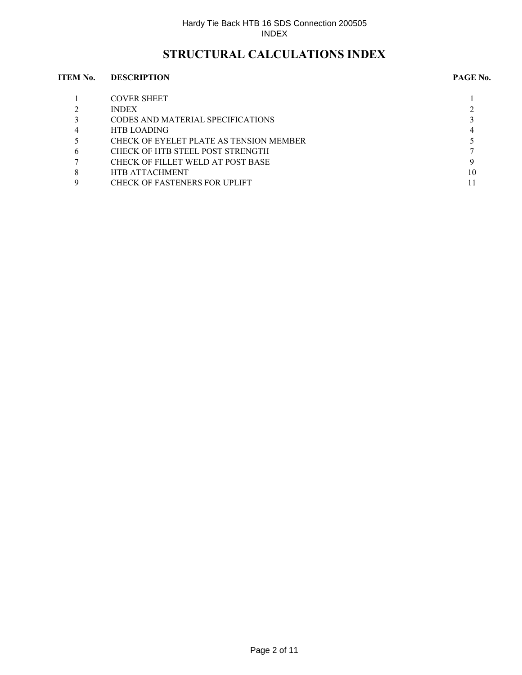### **STRUCTURAL CALCULATIONS INDEX**

#### **ITEM No. DESCRIPTION PAGE No.**

|                | <b>COVER SHEET</b>                      |    |
|----------------|-----------------------------------------|----|
|                | <b>INDEX</b>                            |    |
|                | CODES AND MATERIAL SPECIFICATIONS       |    |
| $\overline{4}$ | <b>HTB LOADING</b>                      |    |
|                | CHECK OF EYELET PLATE AS TENSION MEMBER |    |
| 6              | CHECK OF HTB STEEL POST STRENGTH        |    |
|                | CHECK OF FILLET WELD AT POST BASE       |    |
| 8              | <b>HTB ATTACHMENT</b>                   | 10 |
|                | <b>CHECK OF FASTENERS FOR UPLIFT</b>    |    |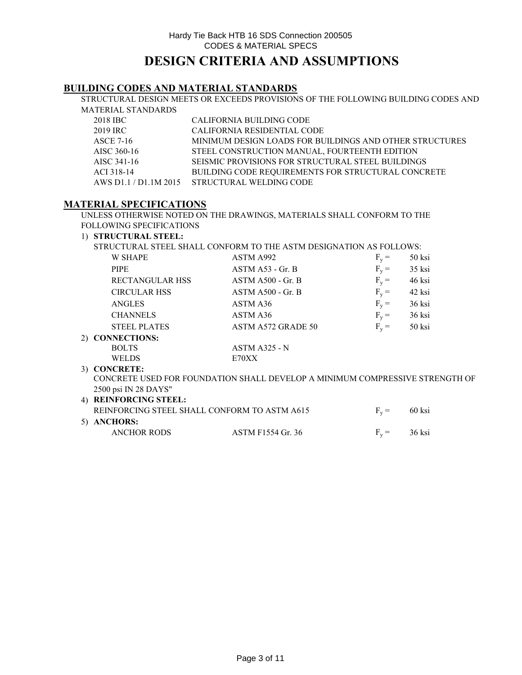#### **BUILDING CODES AND MATERIAL STANDARDS**

STRUCTURAL DESIGN MEETS OR EXCEEDS PROVISIONS OF THE FOLLOWING BUILDING CODES AND MATERIAL STANDARDS

| 2018 IBC    | CALIFORNIA BUILDING CODE                                  |
|-------------|-----------------------------------------------------------|
| 2019 IRC    | CALIFORNIA RESIDENTIAL CODE                               |
| ASCE 7-16   | MINIMUM DESIGN LOADS FOR BUILDINGS AND OTHER STRUCTURES   |
| AISC 360-16 | STEEL CONSTRUCTION MANUAL, FOURTEENTH EDITION             |
| AISC 341-16 | SEISMIC PROVISIONS FOR STRUCTURAL STEEL BUILDINGS         |
| ACI 318-14  | <b>BUILDING CODE REOUIREMENTS FOR STRUCTURAL CONCRETE</b> |
|             | AWS D1.1 / D1.1M 2015 STRUCTURAL WELDING CODE             |

#### **MATERIAL SPECIFICATIONS**

UNLESS OTHERWISE NOTED ON THE DRAWINGS, MATERIALS SHALL CONFORM TO THE FOLLOWING SPECIFICATIONS

#### 1) **STRUCTURAL STEEL:**

STRUCTURAL STEEL SHALL CONFORM TO THE ASTM DESIGNATION AS FOLLOWS:

| <b>W SHAPE</b>                        | ASTM A992                                                                    | $F_v =$ | 50 ksi |  |
|---------------------------------------|------------------------------------------------------------------------------|---------|--------|--|
| <b>PIPE</b>                           | $ASTM A53 - Gr. B$                                                           | $F_v =$ | 35 ksi |  |
| <b>RECTANGULAR HSS</b>                | $ASTM A500 - Gr. B$                                                          | $F_v =$ | 46 ksi |  |
| <b>CIRCULAR HSS</b>                   | $ASTM A500 - Gr. B$                                                          | $F_v =$ | 42 ksi |  |
| <b>ANGLES</b>                         | ASTM A36                                                                     | $F_v =$ | 36 ksi |  |
| <b>CHANNELS</b>                       | ASTM A36                                                                     | $F_v =$ | 36 ksi |  |
| <b>STEEL PLATES</b>                   | ASTM A572 GRADE 50                                                           | $F_v =$ | 50 ksi |  |
| 2) CONNECTIONS:                       |                                                                              |         |        |  |
| <b>BOLTS</b>                          | $ASTM A325 - N$                                                              |         |        |  |
| <b>WELDS</b>                          | E70XX                                                                        |         |        |  |
| 3) CONCRETE:                          |                                                                              |         |        |  |
|                                       | CONCRETE USED FOR FOUNDATION SHALL DEVELOP A MINIMUM COMPRESSIVE STRENGTH OF |         |        |  |
| $2500 \text{ ns}$ M $29 \text{ N}$ VC |                                                                              |         |        |  |

#### 4) **REINFORCING STEEL:** REINFORCING STEEL SHALL CONFORM TO ASTM A615  $F_v = 60$  ksi 5) **ANCHORS:** ANCHOR RODS ASTM F1554 Gr. 36  $F_v = 36$  ksi 2500 psi IN 28 DAYS"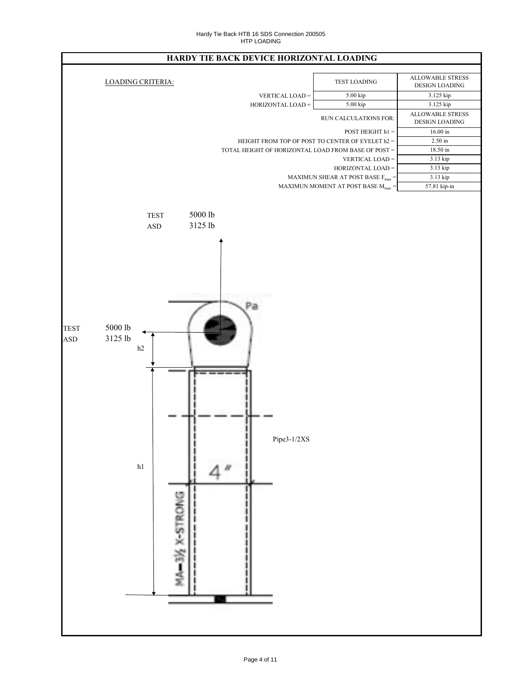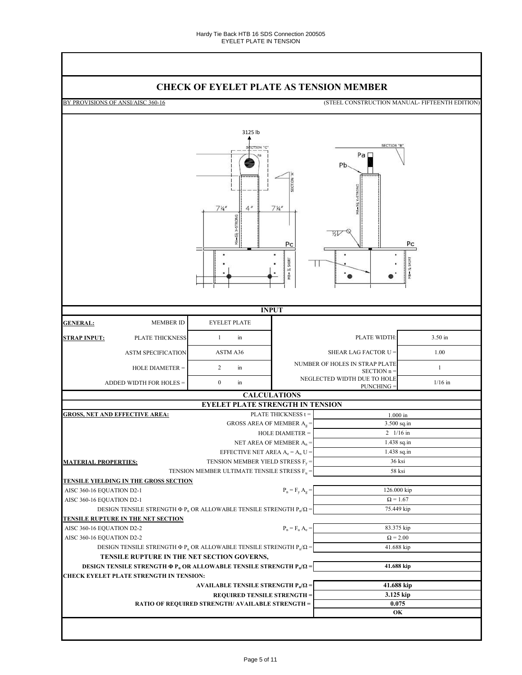### **CHECK OF EYELET PLATE AS TENSION MEMBER**

BY PROVISIONS OF ANSI/AISC 360-16 (STEEL CONSTRUCTION MANUAL- FIFTEENTH EDITION) 3125 lb **SECTION** Pa□ Pb.  $7<sup>1/4</sup>$  $\overline{A}$  $7<sup>1</sup>$ 以し Pc  $P<sub>0</sub>$ SKIRT SKIRT П 4B=  $\bullet$ **INPUT GENERAL:** MEMBER ID EYELET PLATE 1 in PLATE WIDTH: 3.50 in **STRAP INPUT:** PLATE THICKNESS ASTM SPECIFICATION ASTM A36 SHEAR LAG FACTOR U = 1.00 2 in NUMBER OF HOLES IN STRAP PLATE HOLE DIAMETER = SIRAP PLATE  $\text{SECTION } n =$  1 NEGLECTED WIDTH DUE TO HOLE ADDED WIDTH FOR HOLES =  $0$  in PUNCHING  $=$  1/16 in **CALCULATIONS EYELET PLATE STRENGTH IN TENSION GROSS, NET AND EFFECTIVE AREA:** PLATE THICKNESS t = 1.000 in 3.500 sq.in GROSS AREA OF MEMBER  $A_g =$ 2 1/16 in HOLE DIAMETER = 1.438 sq.in NET AREA OF MEMBER  $A_n =$ 1.438 sq.in EFFECTIVE NET AREA  $A_e = A_n U =$ 36 ksi **MATERIAL PROPERTIES:** TENSION MEMBER YIELD STRESS F<sub>y</sub> 58 ksi TENSION MEMBER ULTIMATE TENSILE STRESS  $\mathrm{F}_\mathrm{u} =$ **TENSILE YIELDING IN THE GROSS SECTION** 126.000 kip AISC 360-16 EQUATION D2-1  $=$  F<sub>y</sub> A<sub>g</sub> $=$  AISC 360-16 EQUATION D2-1  $\Omega = 1.67$ 75.449 kip DESIGN TENSILE STRENGTH  $\Phi P_n$  OR ALLOWABLE TENSILE STRENGTH  $P_n/\Omega$  = **TENSILE RUPTURE IN THE NET SECTION** AISC 360-16 EQUATION D2-2 83.375 kip  $=$  F<sub>u</sub> A<sub>e</sub> $=$  AISC 360-16 EQUATION D2-2  $\Omega = 2.00$ 41.688 kip DESIGN TENSILE STRENGTH  $\Phi P_n$  OR ALLOWABLE TENSILE STRENGTH  $P_n/\Omega$  = **TENSILE RUPTURE IN THE NET SECTION GOVERNS, 41.688 kip DESIGN TENSILE STRENGTH Φ P<sup>n</sup> OR ALLOWABLE TENSILE STRENGTH P<sup>n</sup> /Ω = CHECK EYELET PLATE STRENGTH IN TENSION: 41.688 kip AVAILABLE TENSILE STRENGTH P<sup>n</sup> /Ω = REQUIRED TENSILE STRENGTH = 3.125 kip RATIO OF REQUIRED STRENGTH/ AVAILABLE STRENGTH = 0.075 OK**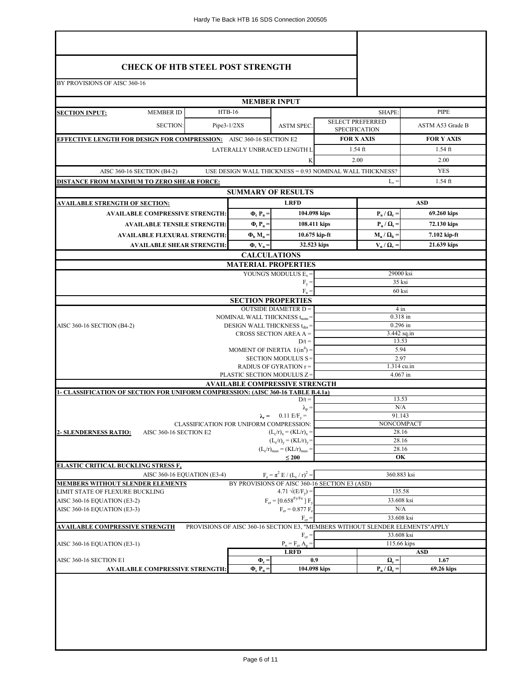| <b>CHECK OF HTB STEEL POST STRENGTH</b>                                          |               |                                           |                                                                      |                 |                                                 |                                                                               |  |  |
|----------------------------------------------------------------------------------|---------------|-------------------------------------------|----------------------------------------------------------------------|-----------------|-------------------------------------------------|-------------------------------------------------------------------------------|--|--|
|                                                                                  |               |                                           |                                                                      |                 |                                                 |                                                                               |  |  |
| BY PROVISIONS OF AISC 360-16                                                     |               |                                           |                                                                      |                 |                                                 |                                                                               |  |  |
|                                                                                  |               | <b>MEMBER INPUT</b>                       |                                                                      |                 |                                                 |                                                                               |  |  |
| <b>MEMBER ID</b><br><b>SECTION INPUT:</b>                                        | $HTB-16$      |                                           |                                                                      |                 | SHAPE:                                          | PIPE                                                                          |  |  |
| <b>SECTION:</b>                                                                  | $Pipe3-1/2XS$ |                                           | <b>ASTM SPEC.</b>                                                    |                 | <b>SELECT PREFERRED</b><br><b>SPECIFICATION</b> | ASTM A53 Grade B                                                              |  |  |
| <b>EFFECTIVE LENGTH FOR DESIGN FOR COMPRESSION:</b> AISC 360-16 SECTION E2       |               |                                           |                                                                      |                 | <b>FOR X AXIS</b>                               | <b>FOR Y AXIS</b>                                                             |  |  |
|                                                                                  |               | LATERALLY UNBRACED LENGTH L               |                                                                      |                 | $1.54$ ft                                       | $1.54$ ft                                                                     |  |  |
|                                                                                  |               |                                           | K                                                                    |                 | 2.00                                            | 2.00                                                                          |  |  |
| AISC 360-16 SECTION (B4-2)                                                       |               |                                           | USE DESIGN WALL THICKNESS = 0.93 NOMINAL WALL THICKNESS?             |                 |                                                 | <b>YES</b>                                                                    |  |  |
| <b>DISTANCE FROM MAXIMUM TO ZERO SHEAR FORCE:</b>                                |               |                                           |                                                                      |                 | $L_v =$                                         | $1.54$ ft                                                                     |  |  |
|                                                                                  |               |                                           | <b>SUMMARY OF RESULTS</b>                                            |                 |                                                 |                                                                               |  |  |
| <u>AVAILABLE STRENGTH OF SECTION:</u>                                            |               |                                           | <b>LRFD</b>                                                          |                 |                                                 | <b>ASD</b>                                                                    |  |  |
| <b>AVAILABLE COMPRESSIVE STRENGTH:</b>                                           |               | $\Phi_{\rm c} P_{\rm n} =$                | 104.098 kips                                                         |                 | $\mathbf{P}_{n} / \mathbf{\Omega}_{c} =$        | 69.260 kips                                                                   |  |  |
| <b>AVAILABLE TENSILE STRENGTH:</b>                                               |               | $\Phi_{\rm t} P_{\rm n}$ =                | 108.411 kips                                                         |                 | $\mathbf{P}_{n} / \mathbf{\Omega}_{t} =$        | 72.130 kips                                                                   |  |  |
| <b>AVAILABLE FLEXURAL STRENGTH:</b>                                              |               | $\Phi_{\rm b}$ M <sub>n</sub> =           |                                                                      | $10.675$ kip-ft | $M_n / \Omega_b =$                              | 7.102 kip-ft                                                                  |  |  |
| <b>AVAILABLE SHEAR STRENGTH:</b>                                                 |               | $\Phi_{\rm v}$ V <sub>n</sub> =           | 32.523 kips                                                          |                 | $V_n / \Omega_v$                                | 21.639 kips                                                                   |  |  |
|                                                                                  |               | <b>CALCULATIONS</b>                       | <b>MATERIAL PROPERTIES</b>                                           |                 |                                                 |                                                                               |  |  |
|                                                                                  |               |                                           | YOUNG'S MODULUS $E_s =$                                              |                 | 29000 ksi                                       |                                                                               |  |  |
|                                                                                  |               |                                           | $F_v =$                                                              |                 | 35 ksi                                          |                                                                               |  |  |
|                                                                                  |               |                                           | $F_n =$                                                              |                 | 60 ksi                                          |                                                                               |  |  |
|                                                                                  |               | <b>SECTION PROPERTIES</b>                 | <b>OUTSIDE DIAMETER D =</b>                                          |                 | $4 \text{ in}$                                  |                                                                               |  |  |
|                                                                                  |               | NOMINAL WALL THICKNESS $t_{\text{nom}}$ = |                                                                      |                 | 0.318 in                                        |                                                                               |  |  |
| AISC 360-16 SECTION (B4-2)                                                       |               | DESIGN WALL THICKNESS t <sub>des</sub>    |                                                                      |                 | $0.296$ in                                      |                                                                               |  |  |
|                                                                                  |               |                                           | CROSS SECTION AREA $A =$<br>$D/t =$                                  |                 | $3.442$ sq.in<br>13.53                          |                                                                               |  |  |
|                                                                                  |               | MOMENT OF INERTIA $I(in^4) =$             |                                                                      |                 | 5.94                                            |                                                                               |  |  |
|                                                                                  |               |                                           | SECTION MODULUS S=                                                   |                 | 2.97                                            |                                                                               |  |  |
|                                                                                  |               | PLASTIC SECTION MODULUS Z=                | RADIUS OF GYRATION r =                                               |                 | 1.314 cu.in<br>4.067 in                         |                                                                               |  |  |
|                                                                                  |               |                                           | <b>AVAILABLE COMPRESSIVE STRENGTH</b>                                |                 |                                                 |                                                                               |  |  |
| 1- CLASSIFICATION OF SECTION FOR UNIFORM COMPRESSION: (AISC 360-16 TABLE B.4.1a) |               |                                           |                                                                      |                 |                                                 |                                                                               |  |  |
|                                                                                  |               |                                           | $D/t =$<br>$\lambda_{\rm p} =$                                       |                 | 13.53<br>N/A                                    |                                                                               |  |  |
|                                                                                  |               |                                           | $\lambda_r = 0.11 \text{ E/F}_y =$                                   |                 | 91.143                                          |                                                                               |  |  |
|                                                                                  |               | CLASSIFICATION FOR UNIFORM COMPRESSION:   |                                                                      |                 | NONCOMPACT                                      |                                                                               |  |  |
| AISC 360-16 SECTION E2<br><b>2- SLENDERNESS RATIO:</b>                           |               |                                           | $(L_c/r)_x = (KL/r)_x =$<br>$(L_c/r)_v = (KL/r)_v =$                 |                 |                                                 | 28.16<br>28.16                                                                |  |  |
|                                                                                  |               |                                           | $(L_c/r)_{max} = (KL/r)_{max} =$                                     | 28.16           |                                                 |                                                                               |  |  |
| <b>ELASTIC CRITICAL BUCKLING STRESS F.</b>                                       |               |                                           | $\leq 200$                                                           |                 | OK                                              |                                                                               |  |  |
| AISC 360-16 EQUATION (E3-4)                                                      |               |                                           | $F_e = \pi^2 E / (L_c / r)^2$                                        |                 | 360.883 ksi                                     |                                                                               |  |  |
| <b>MEMBERS WITHOUT SLENDER ELEMENTS</b>                                          |               |                                           | BY PROVISIONS OF AISC 360-16 SECTION E3 (ASD)                        |                 |                                                 |                                                                               |  |  |
| LIMIT STATE OF FLEXURE BUCKLING                                                  |               |                                           | 4.71 $\sqrt{(E/F_v)}$ =                                              |                 | 135.58                                          |                                                                               |  |  |
| AISC 360-16 EQUATION (E3-2)<br>AISC 360-16 EQUATION (E3-3)                       |               |                                           | $F_{cr}$ = [0.658 <sup>Fy/Fe</sup> ] $F_{v}$<br>$F_{cr} = 0.877 F_e$ |                 | 33.608 ksi<br>N/A                               |                                                                               |  |  |
|                                                                                  |               |                                           | $F_{cr} =$                                                           |                 | 33.608 ksi                                      |                                                                               |  |  |
| <b>AVAILABLE COMPRESSIVE STRENGTH</b>                                            |               |                                           |                                                                      |                 |                                                 | PROVISIONS OF AISC 360-16 SECTION E3, "MEMBERS WITHOUT SLENDER ELEMENTS"APPLY |  |  |
|                                                                                  |               |                                           | $F_{cr} =$                                                           |                 | 33.608 ksi<br>115.66 kips                       |                                                                               |  |  |
| AISC 360-16 EQUATION (E3-1)                                                      |               |                                           | $P_n = F_{cr} A_g =$<br><b>LRFD</b>                                  |                 |                                                 | <b>ASD</b>                                                                    |  |  |
|                                                                                  |               | $\Phi_{\rm c}$ =                          | 0.9                                                                  |                 | $\Omega_{\rm c} =$                              | 1.67                                                                          |  |  |
| AISC 360-16 SECTION E1<br><b>AVAILABLE COMPRESSIVE STRENGTH:</b>                 |               | $\Phi_{\rm c} P_{\rm n} =$                |                                                                      | 104.098 kips    | $\mathbf{P}_n / \mathbf{\Omega}_c =$            | 69.26 kips                                                                    |  |  |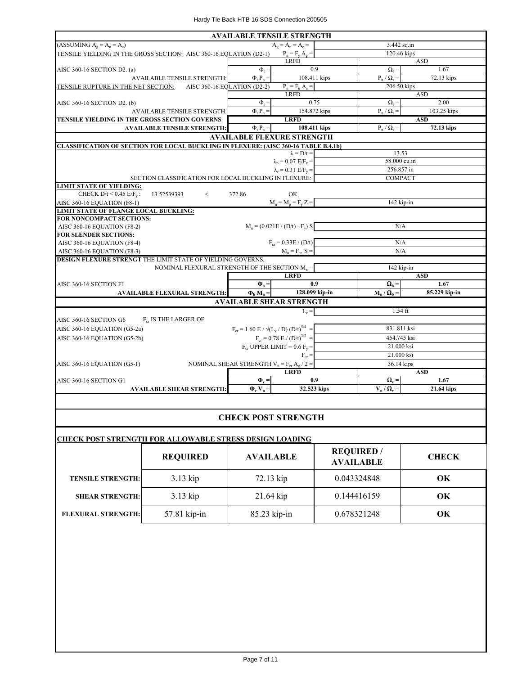| TENSILE YIELDING IN THE GROSS SECTION: AISC 360-16 EQUATION (D2-1) | $A_{\sigma} = A_{n} = A_{e} =$                                                                                                                                           | 3.442 sq.in                                                                                                                                                                                                                                                                                                                                                                                                                                                                                                                                                                                                                                                                                                                                                                                                               |                                                                                                                                                                                                                                                                            |  |
|--------------------------------------------------------------------|--------------------------------------------------------------------------------------------------------------------------------------------------------------------------|---------------------------------------------------------------------------------------------------------------------------------------------------------------------------------------------------------------------------------------------------------------------------------------------------------------------------------------------------------------------------------------------------------------------------------------------------------------------------------------------------------------------------------------------------------------------------------------------------------------------------------------------------------------------------------------------------------------------------------------------------------------------------------------------------------------------------|----------------------------------------------------------------------------------------------------------------------------------------------------------------------------------------------------------------------------------------------------------------------------|--|
|                                                                    |                                                                                                                                                                          |                                                                                                                                                                                                                                                                                                                                                                                                                                                                                                                                                                                                                                                                                                                                                                                                                           |                                                                                                                                                                                                                                                                            |  |
|                                                                    | $P_n = F_y A_g =$                                                                                                                                                        | 120.46 kips                                                                                                                                                                                                                                                                                                                                                                                                                                                                                                                                                                                                                                                                                                                                                                                                               |                                                                                                                                                                                                                                                                            |  |
|                                                                    | <b>LRFD</b>                                                                                                                                                              | <b>ASD</b>                                                                                                                                                                                                                                                                                                                                                                                                                                                                                                                                                                                                                                                                                                                                                                                                                |                                                                                                                                                                                                                                                                            |  |
| $\Phi$ <sub>+</sub>                                                | 0.9                                                                                                                                                                      | $\Omega_t =$                                                                                                                                                                                                                                                                                                                                                                                                                                                                                                                                                                                                                                                                                                                                                                                                              | 1.67                                                                                                                                                                                                                                                                       |  |
| $\Phi$ <sub>t</sub> $P_n =$                                        | 108.411 kips                                                                                                                                                             | $P_n / \Omega_t =$                                                                                                                                                                                                                                                                                                                                                                                                                                                                                                                                                                                                                                                                                                                                                                                                        | 72.13 kips                                                                                                                                                                                                                                                                 |  |
| TENSILE RUPTURE IN THE NET SECTION: AISC 360-16 EQUATION (D2-2)    | $P_n = F_n A_e =$                                                                                                                                                        | 206.50 kips                                                                                                                                                                                                                                                                                                                                                                                                                                                                                                                                                                                                                                                                                                                                                                                                               |                                                                                                                                                                                                                                                                            |  |
|                                                                    | <b>LRFD</b>                                                                                                                                                              |                                                                                                                                                                                                                                                                                                                                                                                                                                                                                                                                                                                                                                                                                                                                                                                                                           | <b>ASD</b>                                                                                                                                                                                                                                                                 |  |
| $\Phi_t =$                                                         | 0.75                                                                                                                                                                     | $\Omega_{\rm t} =$                                                                                                                                                                                                                                                                                                                                                                                                                                                                                                                                                                                                                                                                                                                                                                                                        | 2.00                                                                                                                                                                                                                                                                       |  |
| $\Phi$ <sub>t</sub> $P_n =$                                        |                                                                                                                                                                          | $P_n / Q_t =$                                                                                                                                                                                                                                                                                                                                                                                                                                                                                                                                                                                                                                                                                                                                                                                                             | 103.25 kips                                                                                                                                                                                                                                                                |  |
|                                                                    | <b>LRFD</b>                                                                                                                                                              |                                                                                                                                                                                                                                                                                                                                                                                                                                                                                                                                                                                                                                                                                                                                                                                                                           | <b>ASD</b>                                                                                                                                                                                                                                                                 |  |
| $\Phi$ <sub>t</sub> $P_n =$                                        |                                                                                                                                                                          | $P_n / Q_t =$                                                                                                                                                                                                                                                                                                                                                                                                                                                                                                                                                                                                                                                                                                                                                                                                             | 72.13 kips                                                                                                                                                                                                                                                                 |  |
|                                                                    |                                                                                                                                                                          |                                                                                                                                                                                                                                                                                                                                                                                                                                                                                                                                                                                                                                                                                                                                                                                                                           |                                                                                                                                                                                                                                                                            |  |
|                                                                    |                                                                                                                                                                          |                                                                                                                                                                                                                                                                                                                                                                                                                                                                                                                                                                                                                                                                                                                                                                                                                           |                                                                                                                                                                                                                                                                            |  |
|                                                                    | $\lambda = D/t =$                                                                                                                                                        | 13.53                                                                                                                                                                                                                                                                                                                                                                                                                                                                                                                                                                                                                                                                                                                                                                                                                     |                                                                                                                                                                                                                                                                            |  |
|                                                                    |                                                                                                                                                                          |                                                                                                                                                                                                                                                                                                                                                                                                                                                                                                                                                                                                                                                                                                                                                                                                                           |                                                                                                                                                                                                                                                                            |  |
|                                                                    |                                                                                                                                                                          | 256.857 in                                                                                                                                                                                                                                                                                                                                                                                                                                                                                                                                                                                                                                                                                                                                                                                                                |                                                                                                                                                                                                                                                                            |  |
|                                                                    |                                                                                                                                                                          |                                                                                                                                                                                                                                                                                                                                                                                                                                                                                                                                                                                                                                                                                                                                                                                                                           |                                                                                                                                                                                                                                                                            |  |
|                                                                    |                                                                                                                                                                          |                                                                                                                                                                                                                                                                                                                                                                                                                                                                                                                                                                                                                                                                                                                                                                                                                           |                                                                                                                                                                                                                                                                            |  |
|                                                                    |                                                                                                                                                                          |                                                                                                                                                                                                                                                                                                                                                                                                                                                                                                                                                                                                                                                                                                                                                                                                                           |                                                                                                                                                                                                                                                                            |  |
|                                                                    |                                                                                                                                                                          |                                                                                                                                                                                                                                                                                                                                                                                                                                                                                                                                                                                                                                                                                                                                                                                                                           |                                                                                                                                                                                                                                                                            |  |
|                                                                    |                                                                                                                                                                          |                                                                                                                                                                                                                                                                                                                                                                                                                                                                                                                                                                                                                                                                                                                                                                                                                           |                                                                                                                                                                                                                                                                            |  |
|                                                                    |                                                                                                                                                                          |                                                                                                                                                                                                                                                                                                                                                                                                                                                                                                                                                                                                                                                                                                                                                                                                                           |                                                                                                                                                                                                                                                                            |  |
|                                                                    |                                                                                                                                                                          |                                                                                                                                                                                                                                                                                                                                                                                                                                                                                                                                                                                                                                                                                                                                                                                                                           |                                                                                                                                                                                                                                                                            |  |
|                                                                    |                                                                                                                                                                          |                                                                                                                                                                                                                                                                                                                                                                                                                                                                                                                                                                                                                                                                                                                                                                                                                           |                                                                                                                                                                                                                                                                            |  |
|                                                                    |                                                                                                                                                                          |                                                                                                                                                                                                                                                                                                                                                                                                                                                                                                                                                                                                                                                                                                                                                                                                                           |                                                                                                                                                                                                                                                                            |  |
|                                                                    |                                                                                                                                                                          |                                                                                                                                                                                                                                                                                                                                                                                                                                                                                                                                                                                                                                                                                                                                                                                                                           |                                                                                                                                                                                                                                                                            |  |
|                                                                    |                                                                                                                                                                          |                                                                                                                                                                                                                                                                                                                                                                                                                                                                                                                                                                                                                                                                                                                                                                                                                           |                                                                                                                                                                                                                                                                            |  |
|                                                                    |                                                                                                                                                                          |                                                                                                                                                                                                                                                                                                                                                                                                                                                                                                                                                                                                                                                                                                                                                                                                                           | <b>ASD</b>                                                                                                                                                                                                                                                                 |  |
|                                                                    |                                                                                                                                                                          |                                                                                                                                                                                                                                                                                                                                                                                                                                                                                                                                                                                                                                                                                                                                                                                                                           | 1.67                                                                                                                                                                                                                                                                       |  |
|                                                                    |                                                                                                                                                                          |                                                                                                                                                                                                                                                                                                                                                                                                                                                                                                                                                                                                                                                                                                                                                                                                                           | 85.229 kip-in                                                                                                                                                                                                                                                              |  |
|                                                                    |                                                                                                                                                                          |                                                                                                                                                                                                                                                                                                                                                                                                                                                                                                                                                                                                                                                                                                                                                                                                                           |                                                                                                                                                                                                                                                                            |  |
|                                                                    |                                                                                                                                                                          |                                                                                                                                                                                                                                                                                                                                                                                                                                                                                                                                                                                                                                                                                                                                                                                                                           |                                                                                                                                                                                                                                                                            |  |
|                                                                    |                                                                                                                                                                          |                                                                                                                                                                                                                                                                                                                                                                                                                                                                                                                                                                                                                                                                                                                                                                                                                           |                                                                                                                                                                                                                                                                            |  |
|                                                                    |                                                                                                                                                                          |                                                                                                                                                                                                                                                                                                                                                                                                                                                                                                                                                                                                                                                                                                                                                                                                                           |                                                                                                                                                                                                                                                                            |  |
|                                                                    |                                                                                                                                                                          |                                                                                                                                                                                                                                                                                                                                                                                                                                                                                                                                                                                                                                                                                                                                                                                                                           |                                                                                                                                                                                                                                                                            |  |
|                                                                    |                                                                                                                                                                          |                                                                                                                                                                                                                                                                                                                                                                                                                                                                                                                                                                                                                                                                                                                                                                                                                           |                                                                                                                                                                                                                                                                            |  |
|                                                                    |                                                                                                                                                                          |                                                                                                                                                                                                                                                                                                                                                                                                                                                                                                                                                                                                                                                                                                                                                                                                                           |                                                                                                                                                                                                                                                                            |  |
|                                                                    | $F_{cr} =$                                                                                                                                                               |                                                                                                                                                                                                                                                                                                                                                                                                                                                                                                                                                                                                                                                                                                                                                                                                                           |                                                                                                                                                                                                                                                                            |  |
|                                                                    |                                                                                                                                                                          |                                                                                                                                                                                                                                                                                                                                                                                                                                                                                                                                                                                                                                                                                                                                                                                                                           |                                                                                                                                                                                                                                                                            |  |
|                                                                    |                                                                                                                                                                          |                                                                                                                                                                                                                                                                                                                                                                                                                                                                                                                                                                                                                                                                                                                                                                                                                           | <b>ASD</b>                                                                                                                                                                                                                                                                 |  |
|                                                                    |                                                                                                                                                                          |                                                                                                                                                                                                                                                                                                                                                                                                                                                                                                                                                                                                                                                                                                                                                                                                                           | 1.67                                                                                                                                                                                                                                                                       |  |
|                                                                    |                                                                                                                                                                          |                                                                                                                                                                                                                                                                                                                                                                                                                                                                                                                                                                                                                                                                                                                                                                                                                           | 21.64 kips                                                                                                                                                                                                                                                                 |  |
|                                                                    | 372.86<br>DESIGN FLEXURE STRENGT THE LIMIT STATE OF YIELDING GOVERNS,<br>$\Phi_{\rm b} =$<br>$\Phi_{\rm h} M_{\rm n} =$<br>$\Phi_{\rm v}$ =<br>$\Phi_v$ V <sub>n</sub> = | 154.872 kips<br>108.411 kips<br><b>AVAILABLE FLEXURE STRENGTH</b><br><b>CLASSIFICATION OF SECTION FOR LOCAL BUCKLING IN FLEXURE: (AISC 360-16 TABLE B.4.1b)</b><br>$\lambda_p = 0.07$ E/F <sub>v</sub> =<br>$\lambda_r = 0.31$ E/F <sub>v</sub> =<br>SECTION CLASSIFICATION FOR LOCAL BUCKLING IN FLEXURE:<br>OK<br>$M_n = M_p = F_v Z =$<br>$M_n = (0.021E / (D/t) + F_v) S$<br>$F_{cr} = 0.33E / (D/t)$<br>$M_n = F_{cr} S =$<br>NOMINAL FLEXURAL STRENGTH OF THE SECTION $M_n =$<br><b>LRFD</b><br>0.9<br>128.099 kip-in<br><b>AVAILABLE SHEAR STRENGTH</b><br>$L_v =$<br>$F_{cr} = 1.60 \text{ E} / \sqrt{(L_v / \text{D}) (D/t)^{5/4}} =$<br>$F_{cr} = 0.78 \text{ E} / (D/t)^{3/2}$ =<br>$F_{cr}$ UPPER LIMIT = 0.6 $F_v$ =<br>NOMINAL SHEAR STRENGTH $V_n = F_{cr} A_g / 2 =$<br><b>LRFD</b><br>0.9<br>32.523 kips | 58.000 cu.in<br><b>COMPACT</b><br>142 kip-in<br>N/A<br>N/A<br>N/A<br>142 kip-in<br>$\Omega_{\rm b} =$<br>$M_n / \Omega_b =$<br>$1.54$ ft<br>831.811 ksi<br>454.745 ksi<br>21.000 ksi<br>21.000 ksi<br>36.14 kips<br>$\mathbf{\Omega}_{\mathbf{v}} =$<br>$V_n / \Omega_v =$ |  |

#### **CHECK POST STRENGTH**

| <b>CHECK POST STRENGTH FOR ALLOWABLE STRESS DESIGN LOADING</b> |                 |                  |                                       |              |
|----------------------------------------------------------------|-----------------|------------------|---------------------------------------|--------------|
|                                                                | <b>REQUIRED</b> | <b>AVAILABLE</b> | <b>REQUIRED</b> /<br><b>AVAILABLE</b> | <b>CHECK</b> |
| <b>TENSILE STRENGTH:</b>                                       | $3.13$ kip      | 72.13 kip        | 0.043324848                           | OK           |
| <b>SHEAR STRENGTH:</b>                                         | 3.13 kip        | $21.64$ kip      | 0.144416159                           | OK           |
| <b>FLEXURAL STRENGTH:</b>                                      | 57.81 kip-in    | $85.23$ kip-in   | 0.678321248                           | OK           |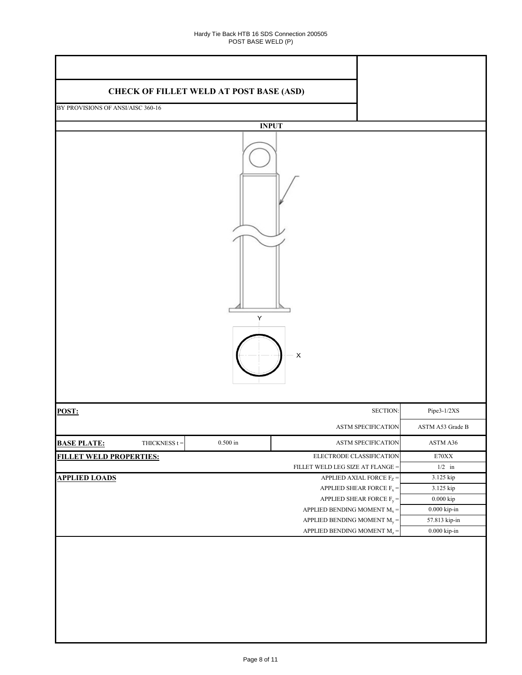| <b>CHECK OF FILLET WELD AT POST BASE (ASD)</b> |                 |                                                 |                         |  |
|------------------------------------------------|-----------------|-------------------------------------------------|-------------------------|--|
| BY PROVISIONS OF ANSI/AISC 360-16              |                 |                                                 |                         |  |
|                                                |                 |                                                 |                         |  |
|                                                |                 | <b>INPUT</b>                                    |                         |  |
|                                                |                 | Υ<br>$\pmb{\mathsf{X}}$                         |                         |  |
| POST:                                          |                 |                                                 | SECTION:<br>Pipe3-1/2XS |  |
|                                                |                 | ASTM SPECIFICATION                              | ASTM A53 Grade B        |  |
| <b>BASE PLATE:</b><br>THICKNESS $t =$          | $0.500$ in $\,$ | ASTM SPECIFICATION                              | ASTM A36                |  |
| <b>FILLET WELD PROPERTIES:</b>                 |                 | ELECTRODE CLASSIFICATION                        | $\rm E70XX$             |  |
|                                                |                 | FILLET WELD LEG SIZE AT FLANGE =                | $1/2$ in                |  |
| <b>APPLIED LOADS</b>                           |                 | APPLIED AXIAL FORCE $F_Z =$                     | 3.125 kip               |  |
|                                                |                 | APPLIED SHEAR FORCE $\mathrm{F}_{\mathrm{x}} =$ | 3.125 kip               |  |
|                                                |                 | APPLIED SHEAR FORCE $F_y =$                     | $0.000\ \mathrm{kip}$   |  |
|                                                |                 | APPLIED BENDING MOMENT $\text{M}_\text{x}$ =    | $0.000$ kip-in $\,$     |  |
|                                                |                 | APPLIED BENDING MOMENT $M_y =$                  | 57.813 kip-in           |  |
|                                                |                 | APPLIED BENDING MOMENT $\rm M_{z}$ =            | $0.000$ kip-in $\,$     |  |
|                                                |                 |                                                 |                         |  |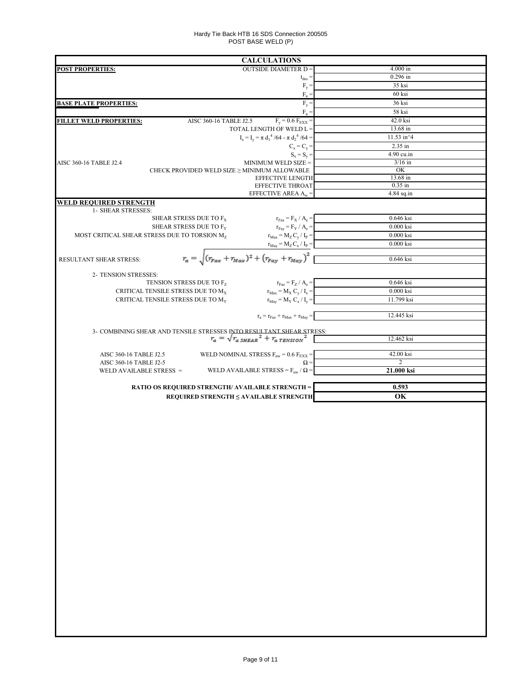#### Hardy Tie Back HTB 16 SDS Connection 200505 POST BASE WELD (P)

| <b>CALCULATIONS</b>                                                               |                                                                                                                                                                                                                                                                                                                                                                                                                                                                                                                                                                                                                                                                                                                                                                                                                                                                                                                                                                                                                                                                                                                                                                                                                                                                                                       |
|-----------------------------------------------------------------------------------|-------------------------------------------------------------------------------------------------------------------------------------------------------------------------------------------------------------------------------------------------------------------------------------------------------------------------------------------------------------------------------------------------------------------------------------------------------------------------------------------------------------------------------------------------------------------------------------------------------------------------------------------------------------------------------------------------------------------------------------------------------------------------------------------------------------------------------------------------------------------------------------------------------------------------------------------------------------------------------------------------------------------------------------------------------------------------------------------------------------------------------------------------------------------------------------------------------------------------------------------------------------------------------------------------------|
| <b>OUTSIDE DIAMETER D =</b><br><b>POST PROPERTIES:</b>                            | $4.000$ in                                                                                                                                                                                                                                                                                                                                                                                                                                                                                                                                                                                                                                                                                                                                                                                                                                                                                                                                                                                                                                                                                                                                                                                                                                                                                            |
|                                                                                   | $0.296$ in<br>$t_{des} =$                                                                                                                                                                                                                                                                                                                                                                                                                                                                                                                                                                                                                                                                                                                                                                                                                                                                                                                                                                                                                                                                                                                                                                                                                                                                             |
|                                                                                   | 35 ksi<br>$F_y =$<br>60 ksi                                                                                                                                                                                                                                                                                                                                                                                                                                                                                                                                                                                                                                                                                                                                                                                                                                                                                                                                                                                                                                                                                                                                                                                                                                                                           |
|                                                                                   | $F_u =$<br>$F_y =$<br>36 ksi                                                                                                                                                                                                                                                                                                                                                                                                                                                                                                                                                                                                                                                                                                                                                                                                                                                                                                                                                                                                                                                                                                                                                                                                                                                                          |
| <b>BASE PLATE PROPERTIES:</b>                                                     | $F_n =$<br>58 ksi                                                                                                                                                                                                                                                                                                                                                                                                                                                                                                                                                                                                                                                                                                                                                                                                                                                                                                                                                                                                                                                                                                                                                                                                                                                                                     |
| $F_y = 0.6 F_{EXX} =$<br>AISC 360-16 TABLE J2.5<br><b>FILLET WELD PROPERTIES:</b> | 42.0 ksi                                                                                                                                                                                                                                                                                                                                                                                                                                                                                                                                                                                                                                                                                                                                                                                                                                                                                                                                                                                                                                                                                                                                                                                                                                                                                              |
| TOTAL LENGTH OF WELD L =                                                          | 13.68 in                                                                                                                                                                                                                                                                                                                                                                                                                                                                                                                                                                                                                                                                                                                                                                                                                                                                                                                                                                                                                                                                                                                                                                                                                                                                                              |
| $I_x = I_y = \pi d_1^4 / 64 - \pi d_2^4 / 64 =$                                   | 11.53 in^4                                                                                                                                                                                                                                                                                                                                                                                                                                                                                                                                                                                                                                                                                                                                                                                                                                                                                                                                                                                                                                                                                                                                                                                                                                                                                            |
|                                                                                   | 2.35 in<br>$C_x = C_y =$                                                                                                                                                                                                                                                                                                                                                                                                                                                                                                                                                                                                                                                                                                                                                                                                                                                                                                                                                                                                                                                                                                                                                                                                                                                                              |
|                                                                                   | 4.90 cu.in<br>$S_x = S_y =$                                                                                                                                                                                                                                                                                                                                                                                                                                                                                                                                                                                                                                                                                                                                                                                                                                                                                                                                                                                                                                                                                                                                                                                                                                                                           |
| MINIMUM WELD SIZE =<br>AISC 360-16 TABLE J2.4                                     | $3/16$ in                                                                                                                                                                                                                                                                                                                                                                                                                                                                                                                                                                                                                                                                                                                                                                                                                                                                                                                                                                                                                                                                                                                                                                                                                                                                                             |
| CHECK PROVIDED WELD SIZE $\geq$ MINIMUM ALLOWABLE<br><b>EFFECTIVE LENGTH</b>      | OK<br>13.68 in                                                                                                                                                                                                                                                                                                                                                                                                                                                                                                                                                                                                                                                                                                                                                                                                                                                                                                                                                                                                                                                                                                                                                                                                                                                                                        |
| EFFECTIVE THROAT                                                                  | $0.35$ in                                                                                                                                                                                                                                                                                                                                                                                                                                                                                                                                                                                                                                                                                                                                                                                                                                                                                                                                                                                                                                                                                                                                                                                                                                                                                             |
|                                                                                   | $4.84$ sq.in                                                                                                                                                                                                                                                                                                                                                                                                                                                                                                                                                                                                                                                                                                                                                                                                                                                                                                                                                                                                                                                                                                                                                                                                                                                                                          |
| WELD REQUIRED STRENGTH                                                            |                                                                                                                                                                                                                                                                                                                                                                                                                                                                                                                                                                                                                                                                                                                                                                                                                                                                                                                                                                                                                                                                                                                                                                                                                                                                                                       |
| 1- SHEAR STRESSES:                                                                |                                                                                                                                                                                                                                                                                                                                                                                                                                                                                                                                                                                                                                                                                                                                                                                                                                                                                                                                                                                                                                                                                                                                                                                                                                                                                                       |
|                                                                                   |                                                                                                                                                                                                                                                                                                                                                                                                                                                                                                                                                                                                                                                                                                                                                                                                                                                                                                                                                                                                                                                                                                                                                                                                                                                                                                       |
|                                                                                   |                                                                                                                                                                                                                                                                                                                                                                                                                                                                                                                                                                                                                                                                                                                                                                                                                                                                                                                                                                                                                                                                                                                                                                                                                                                                                                       |
|                                                                                   |                                                                                                                                                                                                                                                                                                                                                                                                                                                                                                                                                                                                                                                                                                                                                                                                                                                                                                                                                                                                                                                                                                                                                                                                                                                                                                       |
|                                                                                   |                                                                                                                                                                                                                                                                                                                                                                                                                                                                                                                                                                                                                                                                                                                                                                                                                                                                                                                                                                                                                                                                                                                                                                                                                                                                                                       |
| RESULTANT SHEAR STRESS:                                                           | 0.646 ksi                                                                                                                                                                                                                                                                                                                                                                                                                                                                                                                                                                                                                                                                                                                                                                                                                                                                                                                                                                                                                                                                                                                                                                                                                                                                                             |
|                                                                                   |                                                                                                                                                                                                                                                                                                                                                                                                                                                                                                                                                                                                                                                                                                                                                                                                                                                                                                                                                                                                                                                                                                                                                                                                                                                                                                       |
|                                                                                   |                                                                                                                                                                                                                                                                                                                                                                                                                                                                                                                                                                                                                                                                                                                                                                                                                                                                                                                                                                                                                                                                                                                                                                                                                                                                                                       |
|                                                                                   |                                                                                                                                                                                                                                                                                                                                                                                                                                                                                                                                                                                                                                                                                                                                                                                                                                                                                                                                                                                                                                                                                                                                                                                                                                                                                                       |
|                                                                                   |                                                                                                                                                                                                                                                                                                                                                                                                                                                                                                                                                                                                                                                                                                                                                                                                                                                                                                                                                                                                                                                                                                                                                                                                                                                                                                       |
|                                                                                   |                                                                                                                                                                                                                                                                                                                                                                                                                                                                                                                                                                                                                                                                                                                                                                                                                                                                                                                                                                                                                                                                                                                                                                                                                                                                                                       |
|                                                                                   | 12.445 ksi                                                                                                                                                                                                                                                                                                                                                                                                                                                                                                                                                                                                                                                                                                                                                                                                                                                                                                                                                                                                                                                                                                                                                                                                                                                                                            |
|                                                                                   |                                                                                                                                                                                                                                                                                                                                                                                                                                                                                                                                                                                                                                                                                                                                                                                                                                                                                                                                                                                                                                                                                                                                                                                                                                                                                                       |
|                                                                                   | 12.462 ksi                                                                                                                                                                                                                                                                                                                                                                                                                                                                                                                                                                                                                                                                                                                                                                                                                                                                                                                                                                                                                                                                                                                                                                                                                                                                                            |
|                                                                                   |                                                                                                                                                                                                                                                                                                                                                                                                                                                                                                                                                                                                                                                                                                                                                                                                                                                                                                                                                                                                                                                                                                                                                                                                                                                                                                       |
| AISC 360-16 TABLE J2.5                                                            |                                                                                                                                                                                                                                                                                                                                                                                                                                                                                                                                                                                                                                                                                                                                                                                                                                                                                                                                                                                                                                                                                                                                                                                                                                                                                                       |
|                                                                                   | EFFECTIVE AREA $A_w =$<br>0.646 ksi<br>$r_{\text{Fax}} = F_{\text{X}} / A_{\text{e}} =$<br>SHEAR STRESS DUE TO $F_X$<br>SHEAR STRESS DUE TO F <sub>Y</sub><br>$r_{\text{Fay}} = F_Y / A_e =$<br>$0.000$ ksi<br>MOST CRITICAL SHEAR STRESS DUE TO TORSION M <sub>7</sub><br>$r_{\text{Max}} = M_Z C_y / I_P$<br>$0.000$ ksi<br>0.000 ksi<br>$r_a = \sqrt{(r_{Fax} + r_{Max})^2 + (r_{Fay} + r_{May})^2}$<br>2- TENSION STRESSES:<br>0.646 ksi<br>TENSION STRESS DUE TO Fz<br>$r_{\text{Faz}} = F_Z / A_e =$<br>CRITICAL TENSILE STRESS DUE TO M <sub>x</sub><br>$r_{\text{Max}} = M_X C_y / I_x =$<br>$0.000$ ksi<br>11.799 ksi<br>CRITICAL TENSILE STRESS DUE TO M <sub>Y</sub><br>$r_{\text{May}} = M_Y C_x / I_y =$<br>$\mathbf{r}_\mathrm{a} = \mathbf{r}_\mathrm{Faz} + \mathbf{r}_\mathrm{Max} + \mathbf{r}_\mathrm{May} =$<br>3- COMBINING SHEAR AND TENSILE STRESSES INTO RESULTANT SHEAR STRESS:<br>$r_a = \sqrt{r_a s_{HEAR}}^2 + r_{a \, TENSION}^2$<br>WELD NOMINAL STRESS $F_{nw}$ = 0.6 $F_{EXX}$ =<br>42.00 ksi<br>$\overline{2}$<br>AISC 360-16 TABLE J2-5<br>$\Omega =$<br>21.000 ksi<br>WELD AVAILABLE STRESS = $F_{nw}$ / $\Omega$ =<br>WELD AVAILABLE STRESS =<br>0.593<br><b>RATIO OS REQUIRED STRENGTH/ AVAILABLE STRENGTH =</b><br>OK<br>REQUIRED STRENGTH ≤ AVAILABLE STRENGTH |
|                                                                                   |                                                                                                                                                                                                                                                                                                                                                                                                                                                                                                                                                                                                                                                                                                                                                                                                                                                                                                                                                                                                                                                                                                                                                                                                                                                                                                       |
|                                                                                   |                                                                                                                                                                                                                                                                                                                                                                                                                                                                                                                                                                                                                                                                                                                                                                                                                                                                                                                                                                                                                                                                                                                                                                                                                                                                                                       |
|                                                                                   |                                                                                                                                                                                                                                                                                                                                                                                                                                                                                                                                                                                                                                                                                                                                                                                                                                                                                                                                                                                                                                                                                                                                                                                                                                                                                                       |
|                                                                                   |                                                                                                                                                                                                                                                                                                                                                                                                                                                                                                                                                                                                                                                                                                                                                                                                                                                                                                                                                                                                                                                                                                                                                                                                                                                                                                       |
|                                                                                   |                                                                                                                                                                                                                                                                                                                                                                                                                                                                                                                                                                                                                                                                                                                                                                                                                                                                                                                                                                                                                                                                                                                                                                                                                                                                                                       |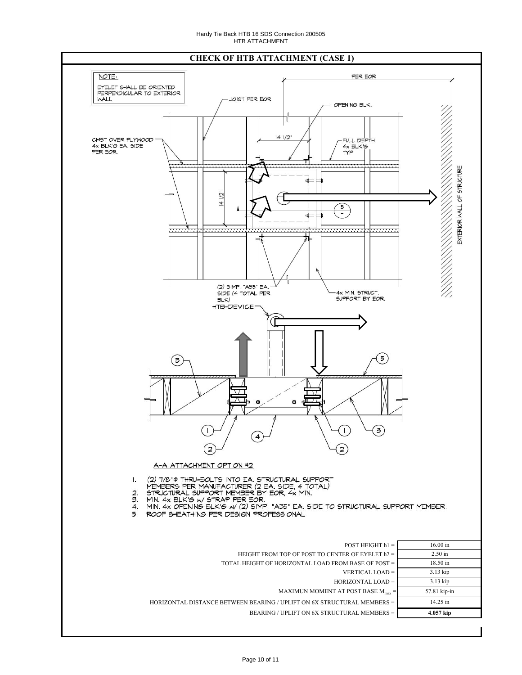